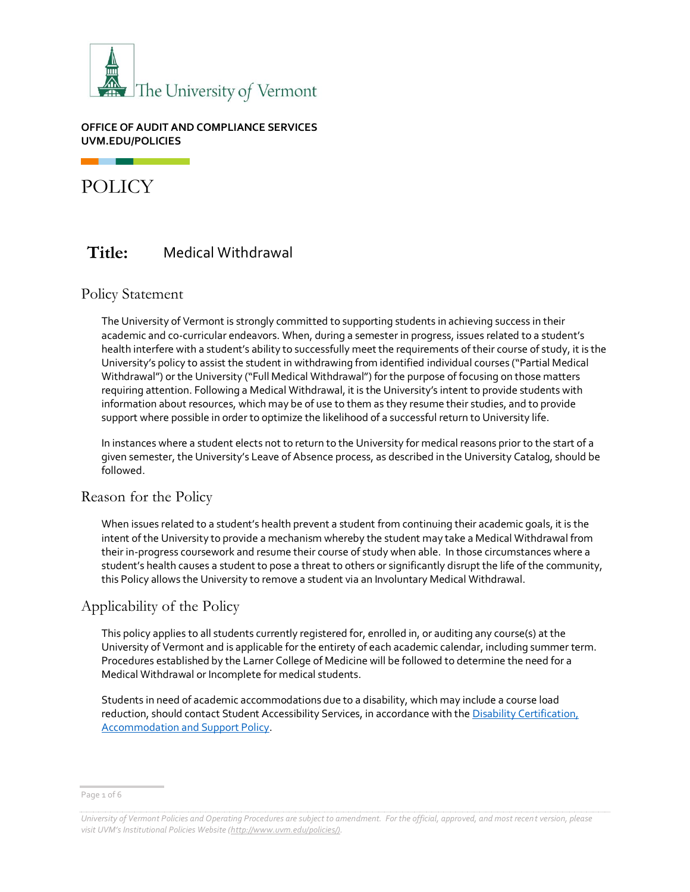

### **OFFICE OF AUDIT AND COMPLIANCE SERVICES UVM.EDU/POLICIES**

POLICY

# **Title:** Medical Withdrawal

### Policy Statement

The University of Vermont is strongly committed to supporting students in achieving success in their academic and co-curricular endeavors. When, during a semester in progress, issues related to a student's health interfere with a student's ability to successfully meet the requirements of their course of study, it is the University's policy to assist the student in withdrawing from identified individual courses ("Partial Medical Withdrawal") or the University ("Full Medical Withdrawal") for the purpose of focusing on those matters requiring attention. Following a Medical Withdrawal, it is the University's intent to provide students with information about resources, which may be of use to them as they resume their studies, and to provide support where possible in order to optimize the likelihood of a successful return to University life.

In instances where a student elects not to return to the University for medical reasons prior to the start of a given semester, the University's Leave of Absence process, as described in the University Catalog, should be followed.

### Reason for the Policy

When issues related to a student's health prevent a student from continuing their academic goals, it is the intent of the University to provide a mechanism whereby the student may take a Medical Withdrawal from their in-progress coursework and resume their course of study when able. In those circumstances where a student's health causes a student to pose a threat to others or significantly disrupt the life of the community, this Policy allows the University to remove a student via an Involuntary Medical Withdrawal.

## Applicability of the Policy

This policy applies to all students currently registered for, enrolled in, or auditing any course(s) at the University of Vermont and is applicable for the entirety of each academic calendar, including summer term. Procedures established by the Larner College of Medicine will be followed to determine the need for a Medical Withdrawal or Incomplete for medical students.

Students in need of academic accommodations due to a disability, which may include a course load reduction, should contact Student Accessibility Services, in accordance with th[e Disability Certification,](https://www.uvm.edu/sites/default/files/UVM-Policies/policies/disability.pdf)  [Accommodation and Support Policy.](https://www.uvm.edu/sites/default/files/UVM-Policies/policies/disability.pdf)

Page 1 of 6

*University of Vermont Policies and Operating Procedures are subject to amendment. For the official, approved, and most recent version, please visit UVM's Institutional Policies Website ([http://www.uvm.edu/policies/\).](http://www.uvm.edu/policies/)*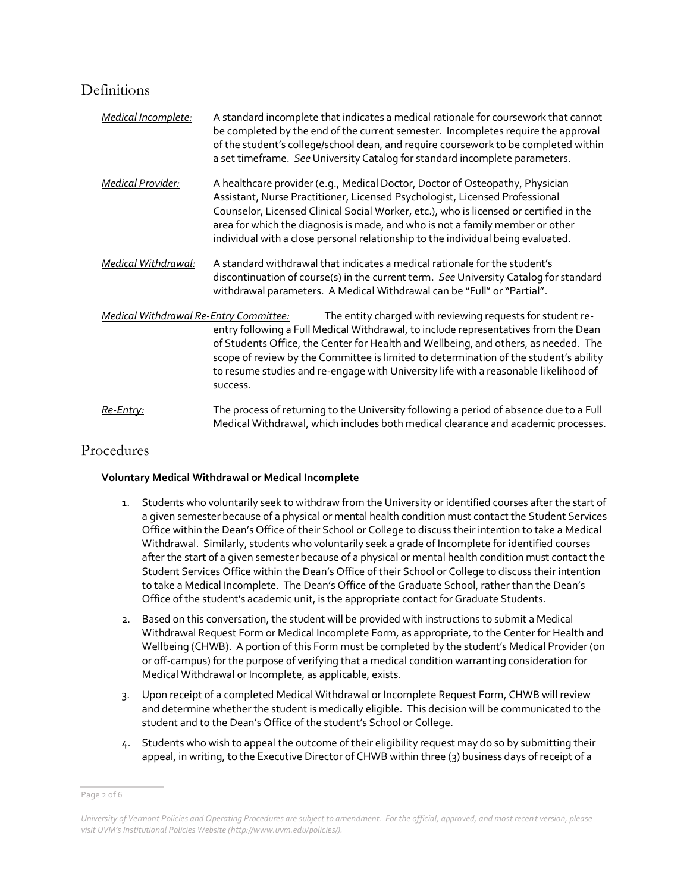## Definitions

| Medical Incomplete:                                                                                                                                                                                                                                                                                                                                                                                                                                                                    | A standard incomplete that indicates a medical rationale for coursework that cannot<br>be completed by the end of the current semester. Incompletes require the approval<br>of the student's college/school dean, and require coursework to be completed within<br>a set timeframe. See University Catalog for standard incomplete parameters.                                                                             |  |  |
|----------------------------------------------------------------------------------------------------------------------------------------------------------------------------------------------------------------------------------------------------------------------------------------------------------------------------------------------------------------------------------------------------------------------------------------------------------------------------------------|----------------------------------------------------------------------------------------------------------------------------------------------------------------------------------------------------------------------------------------------------------------------------------------------------------------------------------------------------------------------------------------------------------------------------|--|--|
| <b>Medical Provider:</b>                                                                                                                                                                                                                                                                                                                                                                                                                                                               | A healthcare provider (e.g., Medical Doctor, Doctor of Osteopathy, Physician<br>Assistant, Nurse Practitioner, Licensed Psychologist, Licensed Professional<br>Counselor, Licensed Clinical Social Worker, etc.), who is licensed or certified in the<br>area for which the diagnosis is made, and who is not a family member or other<br>individual with a close personal relationship to the individual being evaluated. |  |  |
| Medical Withdrawal:                                                                                                                                                                                                                                                                                                                                                                                                                                                                    | A standard withdrawal that indicates a medical rationale for the student's<br>discontinuation of course(s) in the current term. See University Catalog for standard<br>withdrawal parameters. A Medical Withdrawal can be "Full" or "Partial".                                                                                                                                                                             |  |  |
| The entity charged with reviewing requests for student re-<br><b>Medical Withdrawal Re-Entry Committee:</b><br>entry following a Full Medical Withdrawal, to include representatives from the Dean<br>of Students Office, the Center for Health and Wellbeing, and others, as needed. The<br>scope of review by the Committee is limited to determination of the student's ability<br>to resume studies and re-engage with University life with a reasonable likelihood of<br>success. |                                                                                                                                                                                                                                                                                                                                                                                                                            |  |  |
| <u>Re-Entry:</u>                                                                                                                                                                                                                                                                                                                                                                                                                                                                       | The process of returning to the University following a period of absence due to a Full<br>Medical Withdrawal, which includes both medical clearance and academic processes.                                                                                                                                                                                                                                                |  |  |

## Procedures

### **Voluntary Medical Withdrawal or Medical Incomplete**

- 1. Students who voluntarily seek to withdraw from the University or identified courses after the start of a given semester because of a physical or mental health condition must contact the Student Services Office within the Dean's Office of their School or College to discuss their intention to take a Medical Withdrawal. Similarly, students who voluntarily seek a grade of Incomplete for identified courses after the start of a given semester because of a physical or mental health condition must contact the Student Services Office within the Dean's Office of their School or College to discuss their intention to take a Medical Incomplete. The Dean's Office of the Graduate School, rather than the Dean's Office of the student's academic unit, is the appropriate contact for Graduate Students.
- 2. Based on this conversation, the student will be provided with instructions to submit a Medical Withdrawal Request Form or Medical Incomplete Form, as appropriate, to the Center for Health and Wellbeing (CHWB). A portion of this Form must be completed by the student's Medical Provider (on or off-campus) for the purpose of verifying that a medical condition warranting consideration for Medical Withdrawal or Incomplete, as applicable, exists.
- 3. Upon receipt of a completed Medical Withdrawal or Incomplete Request Form, CHWB will review and determine whether the student is medically eligible. This decision will be communicated to the student and to the Dean's Office of the student's School or College.
- 4. Students who wish to appeal the outcome of their eligibility request may do so by submitting their appeal, in writing, to the Executive Director of CHWB within three (3) business days of receipt of a

Page 2 of 6

*University of Vermont Policies and Operating Procedures are subject to amendment. For the official, approved, and most recent version, please visit UVM's Institutional Policies Website ([http://www.uvm.edu/policies/\).](http://www.uvm.edu/policies/)*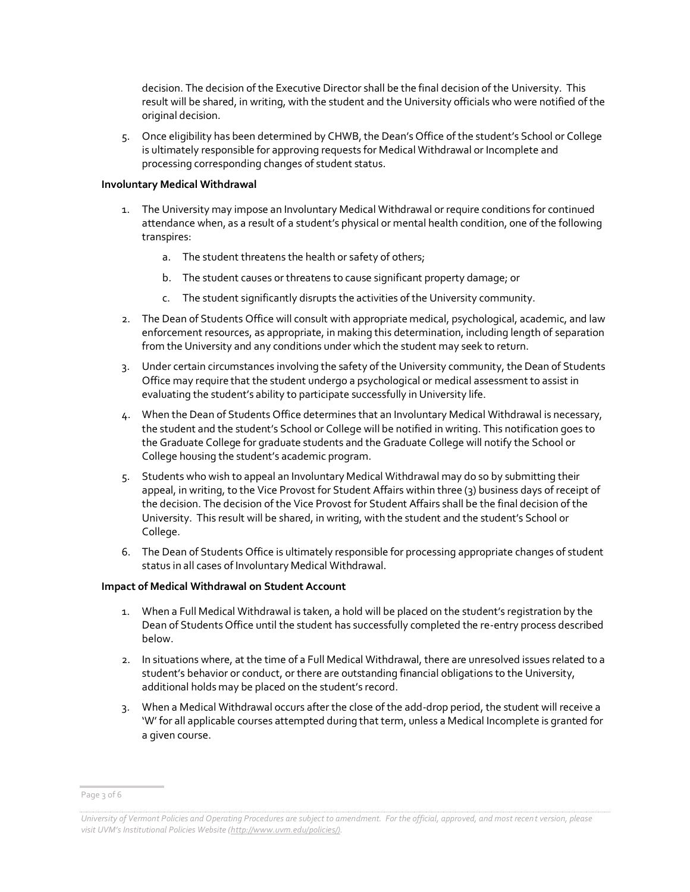decision. The decision of the Executive Director shall be the final decision of the University. This result will be shared, in writing, with the student and the University officials who were notified of the original decision.

5. Once eligibility has been determined by CHWB, the Dean's Office of the student's School or College is ultimately responsible for approving requests for Medical Withdrawal or Incomplete and processing corresponding changes of student status.

#### **Involuntary Medical Withdrawal**

- 1. The University may impose an Involuntary Medical Withdrawal or require conditions for continued attendance when, as a result of a student's physical or mental health condition, one of the following transpires:
	- a. The student threatens the health or safety of others;
	- b. The student causes or threatens to cause significant property damage; or
	- c. The student significantly disrupts the activities of the University community.
- 2. The Dean of Students Office will consult with appropriate medical, psychological, academic, and law enforcement resources, as appropriate, in making this determination, including length of separation from the University and any conditions under which the student may seek to return.
- 3. Under certain circumstances involving the safety of the University community, the Dean of Students Office may require that the student undergo a psychological or medical assessment to assist in evaluating the student's ability to participate successfully in University life.
- 4. When the Dean of Students Office determines that an Involuntary Medical Withdrawal is necessary, the student and the student's School or College will be notified in writing. This notification goes to the Graduate College for graduate students and the Graduate College will notify the School or College housing the student's academic program.
- 5. Students who wish to appeal an Involuntary Medical Withdrawal may do so by submitting their appeal, in writing, to the Vice Provost for Student Affairs within three (3) business days of receipt of the decision. The decision of the Vice Provost for Student Affairs shall be the final decision of the University. This result will be shared, in writing, with the student and the student's School or College.
- 6. The Dean of Students Office is ultimately responsible for processing appropriate changes of student status in all cases of Involuntary Medical Withdrawal.

#### **Impact of Medical Withdrawal on Student Account**

- 1. When a Full Medical Withdrawal is taken, a hold will be placed on the student's registration by the Dean of Students Office until the student has successfully completed the re-entry process described below.
- 2. In situations where, at the time of a Full Medical Withdrawal, there are unresolved issues related to a student's behavior or conduct, or there are outstanding financial obligations to the University, additional holds may be placed on the student's record.
- 3. When a Medical Withdrawal occurs after the close of the add-drop period, the student will receive a 'W' for all applicable courses attempted during that term, unless a Medical Incomplete is granted for a given course.

Page 3 of 6

*University of Vermont Policies and Operating Procedures are subject to amendment. For the official, approved, and most recent version, please visit UVM's Institutional Policies Website ([http://www.uvm.edu/policies/\).](http://www.uvm.edu/policies/)*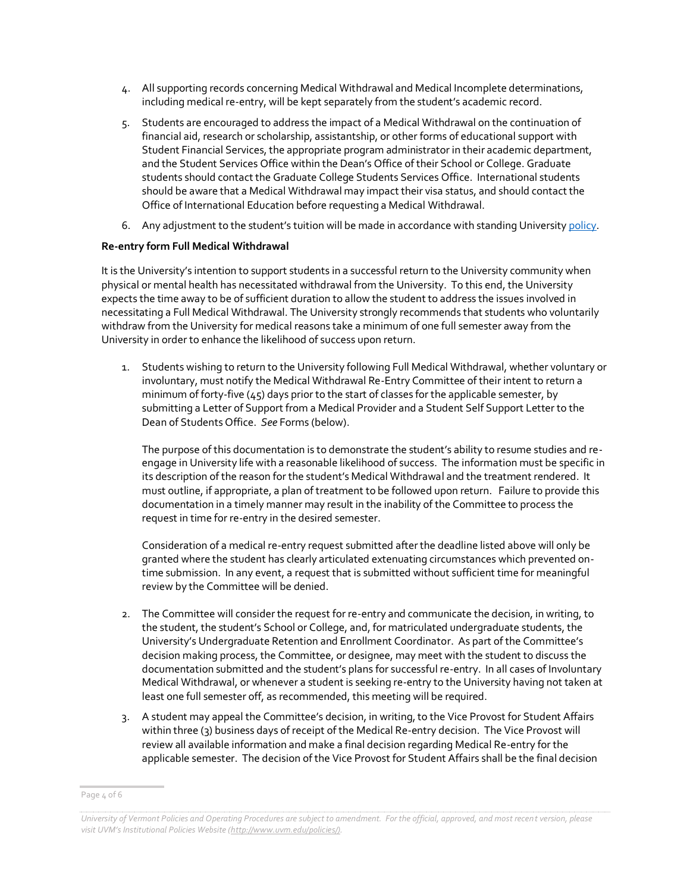- 4. All supporting records concerning Medical Withdrawal and Medical Incomplete determinations, including medical re-entry, will be kept separately from the student's academic record.
- 5. Students are encouraged to address the impact of a Medical Withdrawal on the continuation of financial aid, research or scholarship, assistantship, or other forms of educational support with Student Financial Services, the appropriate program administrator in their academic department, and the Student Services Office within the Dean's Office of their School or College. Graduate students should contact the Graduate College Students Services Office. International students should be aware that a Medical Withdrawal may impact their visa status, and should contact the Office of International Education before requesting a Medical Withdrawal.
- 6. Any adjustment to the student's tuition will be made in accordance with standing Universit[y policy.](https://www.uvm.edu/sites/default/files/UVM-Policies/policies/billadjust.pdf)

#### **Re-entry form Full Medical Withdrawal**

It is the University's intention to support students in a successful return to the University community when physical or mental health has necessitated withdrawal from the University. To this end, the University expects the time away to be of sufficient duration to allow the student to address the issues involved in necessitating a Full Medical Withdrawal. The University strongly recommends that students who voluntarily withdraw from the University for medical reasons take a minimum of one full semester away from the University in order to enhance the likelihood of success upon return.

1. Students wishing to return to the University following Full Medical Withdrawal, whether voluntary or involuntary, must notify the Medical Withdrawal Re-Entry Committee of their intent to return a minimum of forty-five  $(45)$  days prior to the start of classes for the applicable semester, by submitting a Letter of Support from a Medical Provider and a Student Self Support Letter to the Dean of Students Office. *See* Forms (below).

The purpose of this documentation is to demonstrate the student's ability to resume studies and reengage in University life with a reasonable likelihood of success. The information must be specific in its description of the reason for the student's Medical Withdrawal and the treatment rendered. It must outline, if appropriate, a plan of treatment to be followed upon return. Failure to provide this documentation in a timely manner may result in the inability of the Committee to process the request in time for re-entry in the desired semester.

Consideration of a medical re-entry request submitted after the deadline listed above will only be granted where the student has clearly articulated extenuating circumstances which prevented ontime submission. In any event, a request that is submitted without sufficient time for meaningful review by the Committee will be denied.

- 2. The Committee will consider the request for re-entry and communicate the decision, in writing, to the student, the student's School or College, and, for matriculated undergraduate students, the University's Undergraduate Retention and Enrollment Coordinator. As part of the Committee's decision making process, the Committee, or designee, may meet with the student to discuss the documentation submitted and the student's plans for successful re-entry. In all cases of Involuntary Medical Withdrawal, or whenever a student is seeking re-entry to the University having not taken at least one full semester off, as recommended, this meeting will be required.
- 3. A student may appeal the Committee's decision, in writing, to the Vice Provost for Student Affairs within three (3) business days of receipt of the Medical Re-entry decision. The Vice Provost will review all available information and make a final decision regarding Medical Re-entry for the applicable semester. The decision of the Vice Provost for Student Affairs shall be the final decision

Page 4 of 6

*University of Vermont Policies and Operating Procedures are subject to amendment. For the official, approved, and most recent version, please visit UVM's Institutional Policies Website ([http://www.uvm.edu/policies/\).](http://www.uvm.edu/policies/)*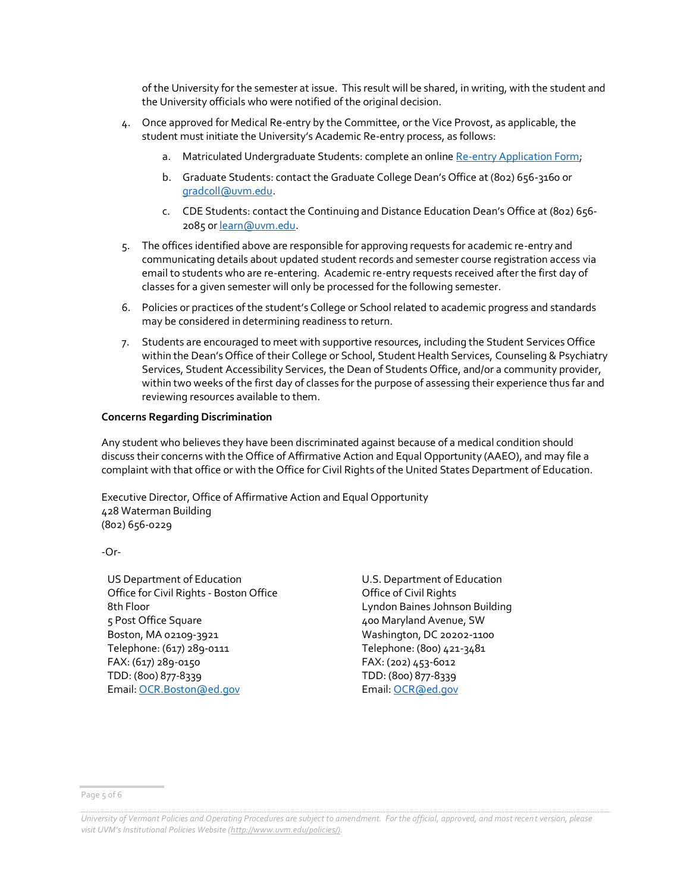of the University for the semester at issue. This result will be shared, in writing, with the student and the University officials who were notified of the original decision.

- 4. Once approved for Medical Re-entry by the Committee, or the Vice Provost, as applicable, the student must initiate the University's Academic Re-entry process, as follows:
	- a. Matriculated Undergraduate Students: complete an onlin[e Re-entry Application Form;](https://www.uvm.edu/admissions/re-entry-application)
	- b. Graduate Students: contact the Graduate College Dean's Office at (802) 656-3160 or [gradcoll@uvm.edu.](mailto:gradcoll@uvm.edu)
	- c. CDE Students: contact the Continuing and Distance Education Dean's Office at (802) 656- 2085 o[r learn@uvm.edu.](mailto:learn@uvm.edu)
- 5. The offices identified above are responsible for approving requests for academic re-entry and communicating details about updated student records and semester course registration access via email to students who are re-entering. Academic re-entry requests received after the first day of classes for a given semester will only be processed for the following semester.
- 6. Policies or practices of the student's College or School related to academic progress and standards may be considered in determining readiness to return.
- 7. Students are encouraged to meet with supportive resources, including the Student Services Office within the Dean's Office of their College or School, Student Health Services, Counseling & Psychiatry Services, Student Accessibility Services, the Dean of Students Office, and/or a community provider, within two weeks of the first day of classes for the purpose of assessing their experience thus far and reviewing resources available to them.

#### **Concerns Regarding Discrimination**

Any student who believes they have been discriminated against because of a medical condition should discuss their concerns with the Office of Affirmative Action and Equal Opportunity (AAEO), and may file a complaint with that office or with the Office for Civil Rights of the United States Department of Education.

Executive Director, Office of Affirmative Action and Equal Opportunity 428 Waterman Building (802) 656-0229

-Or-

US Department of Education Office for Civil Rights - Boston Office 8th Floor 5 Post Office Square Boston, MA 02109-3921 Telephone: (617) 289-0111 FAX: (617) 289-0150 TDD: (800) 877-8339 Email[: OCR.Boston@ed.gov](mailto:OCR.Boston@ed.gov)

U.S. Department of Education Office of Civil Rights Lyndon Baines Johnson Building 400 Maryland Avenue, SW Washington, DC 20202-1100 Telephone: (800) 421-3481 FAX: (202) 453-6012 TDD: (800) 877-8339 Email[: OCR@ed.gov](mailto:OCR@ed.gov)

Page 5 of 6

*University of Vermont Policies and Operating Procedures are subject to amendment. For the official, approved, and most recent version, please visit UVM's Institutional Policies Website ([http://www.uvm.edu/policies/\).](http://www.uvm.edu/policies/)*